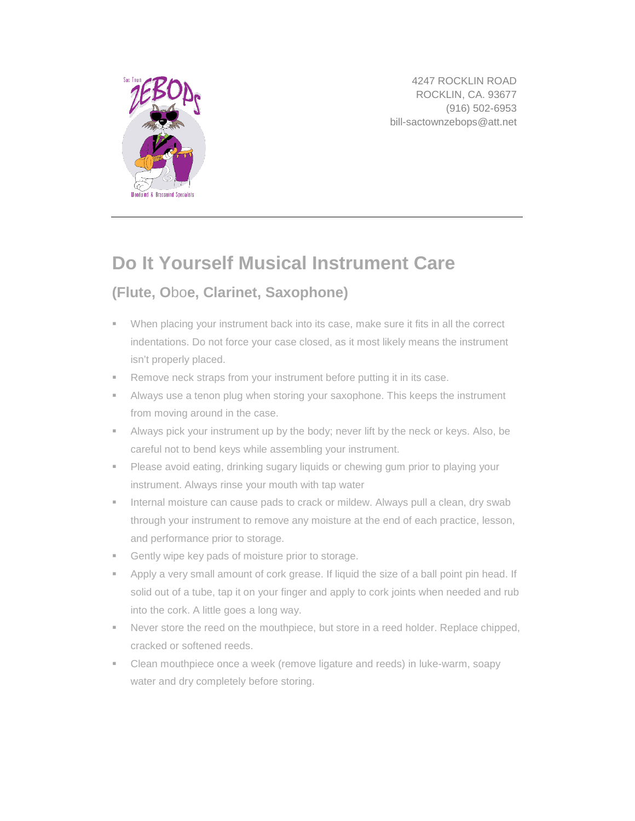

4247 ROCKLIN ROAD ROCKLIN, CA. 93677 (916) 502-6953 bill-sactownzebops@att.net

## **Do It Yourself Musical Instrument Care**

## **[\(Flute,](http://www.musicnotes.com/flute/?utm_source=Musicnotes%20Blog&utm_medium=referral&utm_campaign=Basics%20of%20Musical%20Instrument%20Care) O**[bo](http://www.musicnotes.com/clarinet/?utm_source=Musicnotes%20Blog&utm_medium=referral&utm_campaign=Basics%20of%20Musical%20Instrument%20Care)**e, [Clarinet,](http://www.musicnotes.com/oboe/?utm_source=Musicnotes%20Blog&utm_medium=referral&utm_campaign=Basics%20of%20Musical%20Instrument%20Care) [Saxophone\)](http://www.musicnotes.com/alto_saxophone/?utm_source=Musicnotes%20Blog&utm_medium=referral&utm_campaign=Basics%20of%20Musical%20Instrument%20Care)**

- When placing your instrument back into its case, make sure it fits in all the correct indentations. Do not force your case closed, as it most likely means the instrument isn't properly placed.
- **Remove neck straps from your instrument before putting it in its case.**
- Always use a tenon plug when storing your saxophone. This keeps the instrument from moving around in the case.
- Always pick your instrument up by the body; never lift by the neck or keys. Also, be careful not to bend keys while assembling your instrument.
- **Please avoid eating, drinking sugary liquids or chewing gum prior to playing your** instrument. Always rinse your mouth with tap water
- **Internal moisture can cause pads to crack or mildew. Always pull a clean, dry swab** through your instrument to remove any moisture at the end of each practice, lesson, and performance prior to storage.
- Gently wipe key pads of moisture prior to storage.
- Apply a very small amount of cork grease. If liquid the size of a ball point pin head. If solid out of a tube, tap it on your finger and apply to cork joints when needed and rub into the cork. A little goes a long way.
- **Never store the reed on the mouthpiece, but store in a reed holder. Replace chipped,** cracked or softened reeds.
- Clean mouthpiece once a week (remove ligature and reeds) in luke-warm, soapy water and dry completely before storing.